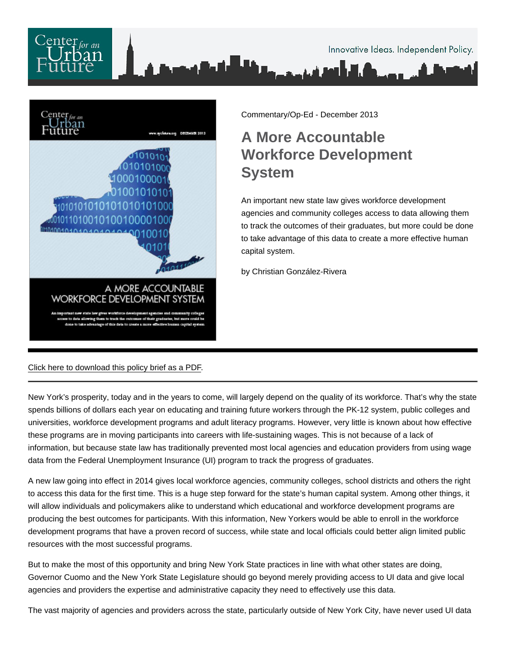

Commentary/Op-Ed - December 2013

## A More Accountable Workforce Development System

An important new state law gives workforce development agencies and community colleges access to data allowing them to track the outcomes of their graduates, but more could be done to take advantage of this data to create a more effective human capital system.

by Christian González-Rivera

[Click here to download this policy brief as a PDF](/pdf/A-More-Accountable-Workforce-Development-System.pdf).

New York's prosperity, today and in the years to come, will largely depend on the quality of its workforce. That's why the state spends billions of dollars each year on educating and training future workers through the PK-12 system, public colleges and universities, workforce development programs and adult literacy programs. However, very little is known about how effective these programs are in moving participants into careers with life-sustaining wages. This is not because of a lack of information, but because state law has traditionally prevented most local agencies and education providers from using wage data from the Federal Unemployment Insurance (UI) program to track the progress of graduates.

A new law going into effect in 2014 gives local workforce agencies, community colleges, school districts and others the right to access this data for the first time. This is a huge step forward for the state's human capital system. Among other things, it will allow individuals and policymakers alike to understand which educational and workforce development programs are producing the best outcomes for participants. With this information, New Yorkers would be able to enroll in the workforce development programs that have a proven record of success, while state and local officials could better align limited public resources with the most successful programs.

But to make the most of this opportunity and bring New York State practices in line with what other states are doing, Governor Cuomo and the New York State Legislature should go beyond merely providing access to UI data and give local agencies and providers the expertise and administrative capacity they need to effectively use this data.

The vast majority of agencies and providers across the state, particularly outside of New York City, have never used UI data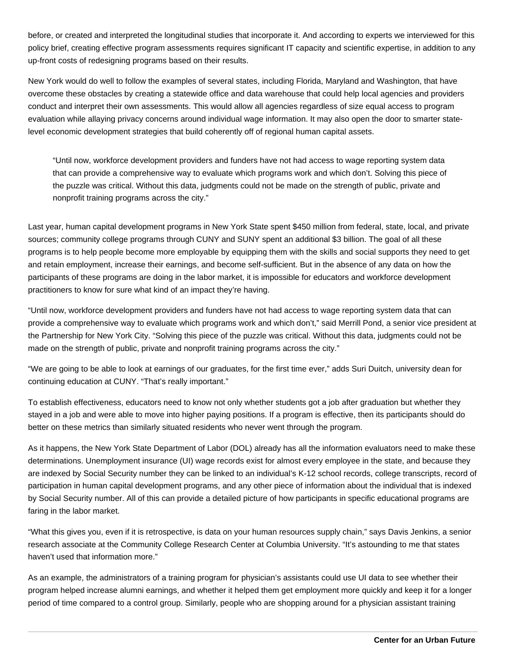before, or created and interpreted the longitudinal studies that incorporate it. And according to experts we interviewed for this policy brief, creating effective program assessments requires significant IT capacity and scientific expertise, in addition to any up-front costs of redesigning programs based on their results.

New York would do well to follow the examples of several states, including Florida, Maryland and Washington, that have overcome these obstacles by creating a statewide office and data warehouse that could help local agencies and providers conduct and interpret their own assessments. This would allow all agencies regardless of size equal access to program evaluation while allaying privacy concerns around individual wage information. It may also open the door to smarter statelevel economic development strategies that build coherently off of regional human capital assets.

"Until now, workforce development providers and funders have not had access to wage reporting system data that can provide a comprehensive way to evaluate which programs work and which don't. Solving this piece of the puzzle was critical. Without this data, judgments could not be made on the strength of public, private and nonprofit training programs across the city."

Last year, human capital development programs in New York State spent \$450 million from federal, state, local, and private sources; community college programs through CUNY and SUNY spent an additional \$3 billion. The goal of all these programs is to help people become more employable by equipping them with the skills and social supports they need to get and retain employment, increase their earnings, and become self-sufficient. But in the absence of any data on how the participants of these programs are doing in the labor market, it is impossible for educators and workforce development practitioners to know for sure what kind of an impact they're having.

"Until now, workforce development providers and funders have not had access to wage reporting system data that can provide a comprehensive way to evaluate which programs work and which don't," said Merrill Pond, a senior vice president at the Partnership for New York City. "Solving this piece of the puzzle was critical. Without this data, judgments could not be made on the strength of public, private and nonprofit training programs across the city."

"We are going to be able to look at earnings of our graduates, for the first time ever," adds Suri Duitch, university dean for continuing education at CUNY. "That's really important."

To establish effectiveness, educators need to know not only whether students got a job after graduation but whether they stayed in a job and were able to move into higher paying positions. If a program is effective, then its participants should do better on these metrics than similarly situated residents who never went through the program.

As it happens, the New York State Department of Labor (DOL) already has all the information evaluators need to make these determinations. Unemployment insurance (UI) wage records exist for almost every employee in the state, and because they are indexed by Social Security number they can be linked to an individual's K-12 school records, college transcripts, record of participation in human capital development programs, and any other piece of information about the individual that is indexed by Social Security number. All of this can provide a detailed picture of how participants in specific educational programs are faring in the labor market.

"What this gives you, even if it is retrospective, is data on your human resources supply chain," says Davis Jenkins, a senior research associate at the Community College Research Center at Columbia University. "It's astounding to me that states haven't used that information more."

As an example, the administrators of a training program for physician's assistants could use UI data to see whether their program helped increase alumni earnings, and whether it helped them get employment more quickly and keep it for a longer period of time compared to a control group. Similarly, people who are shopping around for a physician assistant training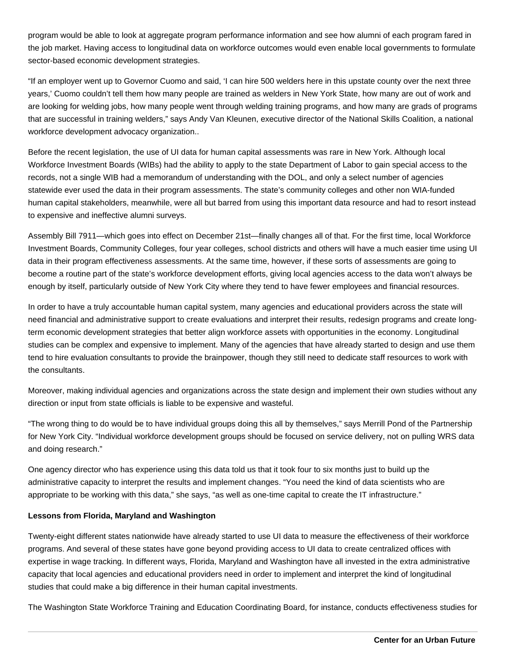program would be able to look at aggregate program performance information and see how alumni of each program fared in the job market. Having access to longitudinal data on workforce outcomes would even enable local governments to formulate sector-based economic development strategies.

"If an employer went up to Governor Cuomo and said, 'I can hire 500 welders here in this upstate county over the next three years,' Cuomo couldn't tell them how many people are trained as welders in New York State, how many are out of work and are looking for welding jobs, how many people went through welding training programs, and how many are grads of programs that are successful in training welders," says Andy Van Kleunen, executive director of the National Skills Coalition, a national workforce development advocacy organization..

Before the recent legislation, the use of UI data for human capital assessments was rare in New York. Although local Workforce Investment Boards (WIBs) had the ability to apply to the state Department of Labor to gain special access to the records, not a single WIB had a memorandum of understanding with the DOL, and only a select number of agencies statewide ever used the data in their program assessments. The state's community colleges and other non WIA-funded human capital stakeholders, meanwhile, were all but barred from using this important data resource and had to resort instead to expensive and ineffective alumni surveys.

Assembly Bill 7911—which goes into effect on December 21st—finally changes all of that. For the first time, local Workforce Investment Boards, Community Colleges, four year colleges, school districts and others will have a much easier time using UI data in their program effectiveness assessments. At the same time, however, if these sorts of assessments are going to become a routine part of the state's workforce development efforts, giving local agencies access to the data won't always be enough by itself, particularly outside of New York City where they tend to have fewer employees and financial resources.

In order to have a truly accountable human capital system, many agencies and educational providers across the state will need financial and administrative support to create evaluations and interpret their results, redesign programs and create longterm economic development strategies that better align workforce assets with opportunities in the economy. Longitudinal studies can be complex and expensive to implement. Many of the agencies that have already started to design and use them tend to hire evaluation consultants to provide the brainpower, though they still need to dedicate staff resources to work with the consultants.

Moreover, making individual agencies and organizations across the state design and implement their own studies without any direction or input from state officials is liable to be expensive and wasteful.

"The wrong thing to do would be to have individual groups doing this all by themselves," says Merrill Pond of the Partnership for New York City. "Individual workforce development groups should be focused on service delivery, not on pulling WRS data and doing research."

One agency director who has experience using this data told us that it took four to six months just to build up the administrative capacity to interpret the results and implement changes. "You need the kind of data scientists who are appropriate to be working with this data," she says, "as well as one-time capital to create the IT infrastructure."

## **Lessons from Florida, Maryland and Washington**

Twenty-eight different states nationwide have already started to use UI data to measure the effectiveness of their workforce programs. And several of these states have gone beyond providing access to UI data to create centralized offices with expertise in wage tracking. In different ways, Florida, Maryland and Washington have all invested in the extra administrative capacity that local agencies and educational providers need in order to implement and interpret the kind of longitudinal studies that could make a big difference in their human capital investments.

The Washington State Workforce Training and Education Coordinating Board, for instance, conducts effectiveness studies for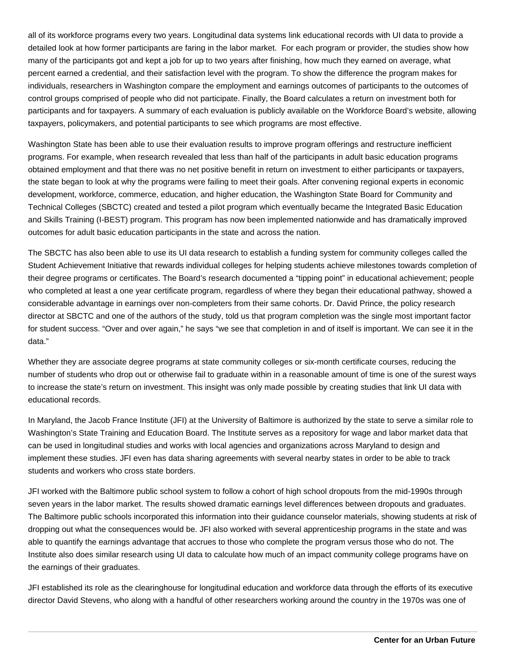all of its workforce programs every two years. Longitudinal data systems link educational records with UI data to provide a detailed look at how former participants are faring in the labor market. For each program or provider, the studies show how many of the participants got and kept a job for up to two years after finishing, how much they earned on average, what percent earned a credential, and their satisfaction level with the program. To show the difference the program makes for individuals, researchers in Washington compare the employment and earnings outcomes of participants to the outcomes of control groups comprised of people who did not participate. Finally, the Board calculates a return on investment both for participants and for taxpayers. A summary of each evaluation is publicly available on the Workforce Board's website, allowing taxpayers, policymakers, and potential participants to see which programs are most effective.

Washington State has been able to use their evaluation results to improve program offerings and restructure inefficient programs. For example, when research revealed that less than half of the participants in adult basic education programs obtained employment and that there was no net positive benefit in return on investment to either participants or taxpayers, the state began to look at why the programs were failing to meet their goals. After convening regional experts in economic development, workforce, commerce, education, and higher education, the Washington State Board for Community and Technical Colleges (SBCTC) created and tested a pilot program which eventually became the Integrated Basic Education and Skills Training (I-BEST) program. This program has now been implemented nationwide and has dramatically improved outcomes for adult basic education participants in the state and across the nation.

The SBCTC has also been able to use its UI data research to establish a funding system for community colleges called the Student Achievement Initiative that rewards individual colleges for helping students achieve milestones towards completion of their degree programs or certificates. The Board's research documented a "tipping point" in educational achievement; people who completed at least a one year certificate program, regardless of where they began their educational pathway, showed a considerable advantage in earnings over non-completers from their same cohorts. Dr. David Prince, the policy research director at SBCTC and one of the authors of the study, told us that program completion was the single most important factor for student success. "Over and over again," he says "we see that completion in and of itself is important. We can see it in the data."

Whether they are associate degree programs at state community colleges or six-month certificate courses, reducing the number of students who drop out or otherwise fail to graduate within in a reasonable amount of time is one of the surest ways to increase the state's return on investment. This insight was only made possible by creating studies that link UI data with educational records.

In Maryland, the Jacob France Institute (JFI) at the University of Baltimore is authorized by the state to serve a similar role to Washington's State Training and Education Board. The Institute serves as a repository for wage and labor market data that can be used in longitudinal studies and works with local agencies and organizations across Maryland to design and implement these studies. JFI even has data sharing agreements with several nearby states in order to be able to track students and workers who cross state borders.

JFI worked with the Baltimore public school system to follow a cohort of high school dropouts from the mid-1990s through seven years in the labor market. The results showed dramatic earnings level differences between dropouts and graduates. The Baltimore public schools incorporated this information into their guidance counselor materials, showing students at risk of dropping out what the consequences would be. JFI also worked with several apprenticeship programs in the state and was able to quantify the earnings advantage that accrues to those who complete the program versus those who do not. The Institute also does similar research using UI data to calculate how much of an impact community college programs have on the earnings of their graduates.

JFI established its role as the clearinghouse for longitudinal education and workforce data through the efforts of its executive director David Stevens, who along with a handful of other researchers working around the country in the 1970s was one of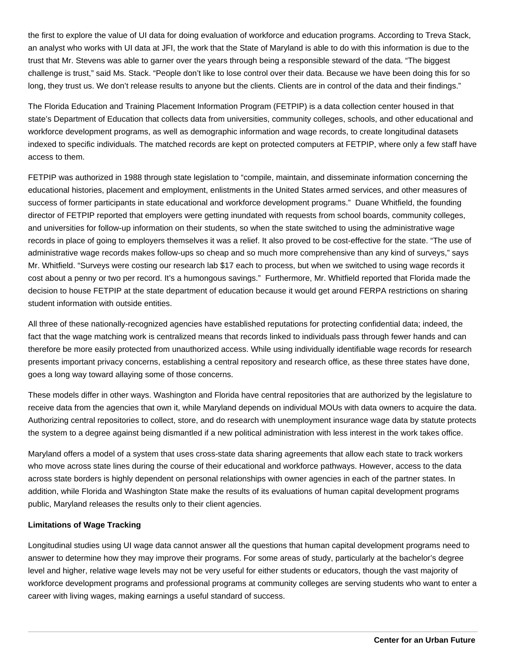the first to explore the value of UI data for doing evaluation of workforce and education programs. According to Treva Stack, an analyst who works with UI data at JFI, the work that the State of Maryland is able to do with this information is due to the trust that Mr. Stevens was able to garner over the years through being a responsible steward of the data. "The biggest challenge is trust," said Ms. Stack. "People don't like to lose control over their data. Because we have been doing this for so long, they trust us. We don't release results to anyone but the clients. Clients are in control of the data and their findings."

The Florida Education and Training Placement Information Program (FETPIP) is a data collection center housed in that state's Department of Education that collects data from universities, community colleges, schools, and other educational and workforce development programs, as well as demographic information and wage records, to create longitudinal datasets indexed to specific individuals. The matched records are kept on protected computers at FETPIP, where only a few staff have access to them.

FETPIP was authorized in 1988 through state legislation to "compile, maintain, and disseminate information concerning the educational histories, placement and employment, enlistments in the United States armed services, and other measures of success of former participants in state educational and workforce development programs." Duane Whitfield, the founding director of FETPIP reported that employers were getting inundated with requests from school boards, community colleges, and universities for follow-up information on their students, so when the state switched to using the administrative wage records in place of going to employers themselves it was a relief. It also proved to be cost-effective for the state. "The use of administrative wage records makes follow-ups so cheap and so much more comprehensive than any kind of surveys," says Mr. Whitfield. "Surveys were costing our research lab \$17 each to process, but when we switched to using wage records it cost about a penny or two per record. It's a humongous savings." Furthermore, Mr. Whitfield reported that Florida made the decision to house FETPIP at the state department of education because it would get around FERPA restrictions on sharing student information with outside entities.

All three of these nationally-recognized agencies have established reputations for protecting confidential data; indeed, the fact that the wage matching work is centralized means that records linked to individuals pass through fewer hands and can therefore be more easily protected from unauthorized access. While using individually identifiable wage records for research presents important privacy concerns, establishing a central repository and research office, as these three states have done, goes a long way toward allaying some of those concerns.

These models differ in other ways. Washington and Florida have central repositories that are authorized by the legislature to receive data from the agencies that own it, while Maryland depends on individual MOUs with data owners to acquire the data. Authorizing central repositories to collect, store, and do research with unemployment insurance wage data by statute protects the system to a degree against being dismantled if a new political administration with less interest in the work takes office.

Maryland offers a model of a system that uses cross-state data sharing agreements that allow each state to track workers who move across state lines during the course of their educational and workforce pathways. However, access to the data across state borders is highly dependent on personal relationships with owner agencies in each of the partner states. In addition, while Florida and Washington State make the results of its evaluations of human capital development programs public, Maryland releases the results only to their client agencies.

## **Limitations of Wage Tracking**

Longitudinal studies using UI wage data cannot answer all the questions that human capital development programs need to answer to determine how they may improve their programs. For some areas of study, particularly at the bachelor's degree level and higher, relative wage levels may not be very useful for either students or educators, though the vast majority of workforce development programs and professional programs at community colleges are serving students who want to enter a career with living wages, making earnings a useful standard of success.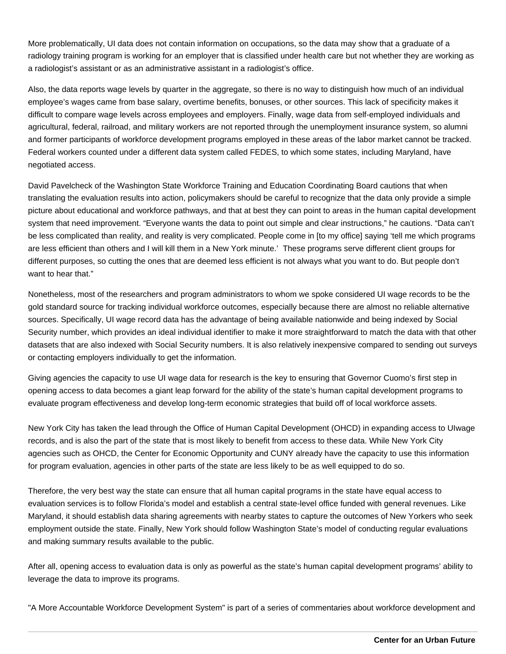More problematically, UI data does not contain information on occupations, so the data may show that a graduate of a radiology training program is working for an employer that is classified under health care but not whether they are working as a radiologist's assistant or as an administrative assistant in a radiologist's office.

Also, the data reports wage levels by quarter in the aggregate, so there is no way to distinguish how much of an individual employee's wages came from base salary, overtime benefits, bonuses, or other sources. This lack of specificity makes it difficult to compare wage levels across employees and employers. Finally, wage data from self-employed individuals and agricultural, federal, railroad, and military workers are not reported through the unemployment insurance system, so alumni and former participants of workforce development programs employed in these areas of the labor market cannot be tracked. Federal workers counted under a different data system called FEDES, to which some states, including Maryland, have negotiated access.

David Pavelcheck of the Washington State Workforce Training and Education Coordinating Board cautions that when translating the evaluation results into action, policymakers should be careful to recognize that the data only provide a simple picture about educational and workforce pathways, and that at best they can point to areas in the human capital development system that need improvement. "Everyone wants the data to point out simple and clear instructions," he cautions. "Data can't be less complicated than reality, and reality is very complicated. People come in [to my office] saying 'tell me which programs are less efficient than others and I will kill them in a New York minute.' These programs serve different client groups for different purposes, so cutting the ones that are deemed less efficient is not always what you want to do. But people don't want to hear that."

Nonetheless, most of the researchers and program administrators to whom we spoke considered UI wage records to be the gold standard source for tracking individual workforce outcomes, especially because there are almost no reliable alternative sources. Specifically, UI wage record data has the advantage of being available nationwide and being indexed by Social Security number, which provides an ideal individual identifier to make it more straightforward to match the data with that other datasets that are also indexed with Social Security numbers. It is also relatively inexpensive compared to sending out surveys or contacting employers individually to get the information.

Giving agencies the capacity to use UI wage data for research is the key to ensuring that Governor Cuomo's first step in opening access to data becomes a giant leap forward for the ability of the state's human capital development programs to evaluate program effectiveness and develop long-term economic strategies that build off of local workforce assets.

New York City has taken the lead through the Office of Human Capital Development (OHCD) in expanding access to UI wage records, and is also the part of the state that is most likely to benefit from access to these data. While New York City agencies such as OHCD, the Center for Economic Opportunity and CUNY already have the capacity to use this information for program evaluation, agencies in other parts of the state are less likely to be as well equipped to do so.

Therefore, the very best way the state can ensure that all human capital programs in the state have equal access to evaluation services is to follow Florida's model and establish a central state-level office funded with general revenues. Like Maryland, it should establish data sharing agreements with nearby states to capture the outcomes of New Yorkers who seek employment outside the state. Finally, New York should follow Washington State's model of conducting regular evaluations and making summary results available to the public.

After all, opening access to evaluation data is only as powerful as the state's human capital development programs' ability to leverage the data to improve its programs.

"A More Accountable Workforce Development System" is part of a series of commentaries about workforce development and